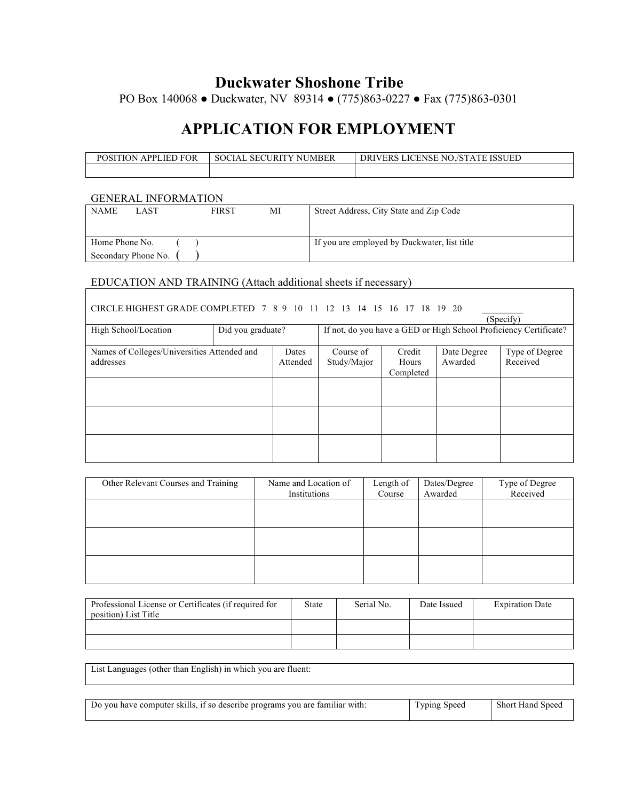### **Duckwater Shoshone Tribe**

PO Box 140068 ● Duckwater, NV 89314 ● (775)863-0227 ● Fax (775)863-0301

## **APPLICATION FOR EMPLOYMENT**

| APPI<br>LIED FOR<br>POSIT<br>$\sim$ 0N $\sim$ | JMBER<br><b>SOCIAL</b><br><b>SECURIT</b><br>$\mathbf{v}$<br>NI. | NO./STATE<br><b>DRIVERS LICENSE</b><br><b>ISSUED</b> |
|-----------------------------------------------|-----------------------------------------------------------------|------------------------------------------------------|
|                                               |                                                                 |                                                      |

### GENERAL INFORMATION

| <b>NAME</b>    | LAST                | FIRST | МI | Street Address, City State and Zip Code      |
|----------------|---------------------|-------|----|----------------------------------------------|
| Home Phone No. |                     |       |    | If you are employed by Duckwater, list title |
|                | Secondary Phone No. |       |    |                                              |

# EDUCATION AND TRAINING (Attach additional sheets if necessary)

| CIRCLE HIGHEST GRADE COMPLETED 7 8 9 10 11 12 13 14 15 16 17 18 19 20<br>(Specify) |                   |          |             |           |             |                                                                   |  |
|------------------------------------------------------------------------------------|-------------------|----------|-------------|-----------|-------------|-------------------------------------------------------------------|--|
| High School/Location                                                               | Did you graduate? |          |             |           |             | If not, do you have a GED or High School Proficiency Certificate? |  |
| Names of Colleges/Universities Attended and                                        |                   | Dates    | Course of   | Credit    | Date Degree | Type of Degree                                                    |  |
| addresses                                                                          |                   | Attended | Study/Major | Hours     | Awarded     | Received                                                          |  |
|                                                                                    |                   |          |             | Completed |             |                                                                   |  |
|                                                                                    |                   |          |             |           |             |                                                                   |  |
|                                                                                    |                   |          |             |           |             |                                                                   |  |
|                                                                                    |                   |          |             |           |             |                                                                   |  |
|                                                                                    |                   |          |             |           |             |                                                                   |  |
|                                                                                    |                   |          |             |           |             |                                                                   |  |
|                                                                                    |                   |          |             |           |             |                                                                   |  |

| Other Relevant Courses and Training | Name and Location of<br>Institutions | Length of<br>Course | Dates/Degree<br>Awarded | Type of Degree<br>Received |
|-------------------------------------|--------------------------------------|---------------------|-------------------------|----------------------------|
|                                     |                                      |                     |                         |                            |
|                                     |                                      |                     |                         |                            |
|                                     |                                      |                     |                         |                            |
|                                     |                                      |                     |                         |                            |

| Professional License or Certificates (if required for<br>position) List Title | State | Serial No. | Date Issued | <b>Expiration Date</b> |
|-------------------------------------------------------------------------------|-------|------------|-------------|------------------------|
|                                                                               |       |            |             |                        |
|                                                                               |       |            |             |                        |

List Languages (other than English) in which you are fluent: Do you have computer skills, if so describe programs you are familiar with: Typing Speed Short Hand Speed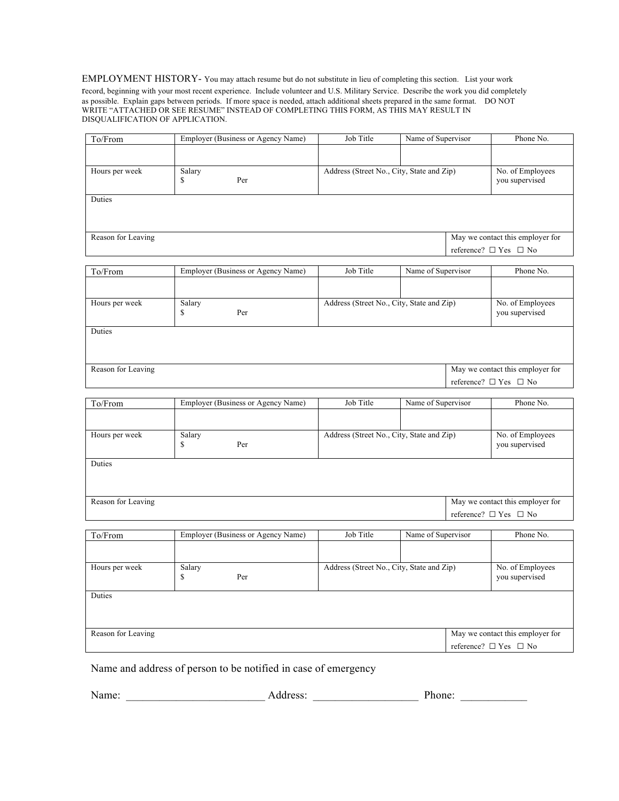#### EMPLOYMENT HISTORY- You may attach resume but do not substitute in lieu of completing this section. List your work

record, beginning with your most recent experience. Include volunteer and U.S. Military Service. Describe the work you did completely as possible. Explain gaps between periods. If more space is needed, attach additional sheets prepared in the same format. DO NOT WRITE "ATTACHED OR SEE RESUME" INSTEAD OF COMPLETING THIS FORM, AS THIS MAY RESULT IN DISQUALIFICATION OF APPLICATION.

| To/From            | Employer (Business or Agency Name) | Job Title                                 | Name of Supervisor | Phone No.                                                           |
|--------------------|------------------------------------|-------------------------------------------|--------------------|---------------------------------------------------------------------|
|                    |                                    |                                           |                    |                                                                     |
| Hours per week     | Salary<br>S<br>Per                 | Address (Street No., City, State and Zip) |                    | No. of Employees<br>you supervised                                  |
| Duties             |                                    |                                           |                    |                                                                     |
| Reason for Leaving |                                    |                                           |                    | May we contact this employer for<br>reference? $\Box$ Yes $\Box$ No |

| To/From            | Employer (Business or Agency Name) | Job Title                                 | Name of Supervisor | Phone No.                          |
|--------------------|------------------------------------|-------------------------------------------|--------------------|------------------------------------|
|                    |                                    |                                           |                    |                                    |
| Hours per week     | Salary<br>Per<br>\$                | Address (Street No., City, State and Zip) |                    | No. of Employees<br>you supervised |
| Duties             |                                    |                                           |                    |                                    |
| Reason for Leaving |                                    |                                           |                    | May we contact this employer for   |
|                    |                                    |                                           |                    | reference? $\Box$ Yes $\Box$ No    |

| To/From            | Employer (Business or Agency Name) | Job Title                                 | Name of Supervisor | Phone No.                          |
|--------------------|------------------------------------|-------------------------------------------|--------------------|------------------------------------|
|                    |                                    |                                           |                    |                                    |
| Hours per week     | Salary<br>S<br>Per                 | Address (Street No., City, State and Zip) |                    | No. of Employees<br>you supervised |
| Duties             |                                    |                                           |                    |                                    |
| Reason for Leaving |                                    |                                           |                    | May we contact this employer for   |
|                    |                                    |                                           |                    | reference? $\Box$ Yes $\Box$ No    |
| To/From            | Employer (Business or Agency Name) | Job Title                                 | Name of Supervisor | Phone No.                          |

| то/гтош            |             | Employer (Business of Agency Name) | JUU THIU                                  | <b>IVALIIU OI DUPU VISOL</b> | THUIL IVU.                         |
|--------------------|-------------|------------------------------------|-------------------------------------------|------------------------------|------------------------------------|
|                    |             |                                    |                                           |                              |                                    |
| Hours per week     | Salary<br>S | Per                                | Address (Street No., City, State and Zip) |                              | No. of Employees<br>you supervised |
| Duties             |             |                                    |                                           |                              |                                    |
| Reason for Leaving |             |                                    |                                           |                              | May we contact this employer for   |
|                    |             |                                    |                                           |                              | reference? $\Box$ Yes $\Box$ No    |

Name and address of person to be notified in case of emergency

|  | Name: |  | 0000<br>vaaress |  | Phone: |  |
|--|-------|--|-----------------|--|--------|--|
|--|-------|--|-----------------|--|--------|--|